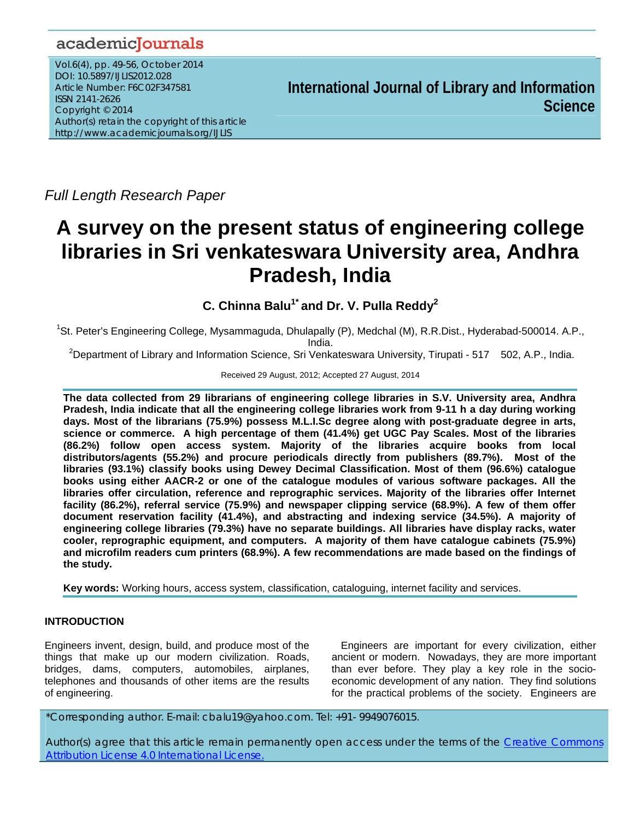# academicJournals

Vol.6(4), pp. 49-56, October 2014 DOI: 10.5897/IJLIS2012.028 Article Number: F6C02F347581 ISSN 2141-2626 Copyright © 2014 Author(s) retain the copyright of this article http://www.academicjournals.org/IJLIS

**International Journal of Library and Information Science**

*Full Length Research Paper* 

# **A survey on the present status of engineering college libraries in Sri venkateswara University area, Andhra Pradesh, India**

**C. Chinna Balu1\* and Dr. V. Pulla Reddy2**

<sup>1</sup>St. Peter's Engineering College, Mysammaguda, Dhulapally (P), Medchal (M), R.R.Dist., Hyderabad-500014. A.P., India.

<sup>2</sup>Department of Library and Information Science, Sri Venkateswara University, Tirupati - 517 502, A.P., India.

Received 29 August, 2012; Accepted 27 August, 2014

**The data collected from 29 librarians of engineering college libraries in S.V. University area, Andhra Pradesh, India indicate that all the engineering college libraries work from 9-11 h a day during working days. Most of the librarians (75.9%) possess M.L.I.Sc degree along with post-graduate degree in arts, science or commerce. A high percentage of them (41.4%) get UGC Pay Scales. Most of the libraries (86.2%) follow open access system. Majority of the libraries acquire books from local distributors/agents (55.2%) and procure periodicals directly from publishers (89.7%). Most of the libraries (93.1%) classify books using Dewey Decimal Classification. Most of them (96.6%) catalogue books using either AACR-2 or one of the catalogue modules of various software packages. All the libraries offer circulation, reference and reprographic services. Majority of the libraries offer Internet facility (86.2%), referral service (75.9%) and newspaper clipping service (68.9%). A few of them offer document reservation facility (41.4%), and abstracting and indexing service (34.5%). A majority of engineering college libraries (79.3%) have no separate buildings. All libraries have display racks, water cooler, reprographic equipment, and computers. A majority of them have catalogue cabinets (75.9%) and microfilm readers cum printers (68.9%). A few recommendations are made based on the findings of the study.** 

**Key words:** Working hours, access system, classification, cataloguing, internet facility and services.

# **INTRODUCTION**

Engineers invent, design, build, and produce most of the things that make up our modern civilization. Roads, bridges, dams, computers, automobiles, airplanes, telephones and thousands of other items are the results of engineering.

Engineers are important for every civilization, either ancient or modern. Nowadays, they are more important than ever before. They play a key role in the socioeconomic development of any nation. They find solutions for the practical problems of the society. Engineers are

\*Corresponding author. E-mail: cbalu19@yahoo.com. Tel: +91- 9949076015.

Author(s) agree that this article remain permanently open access under the terms of the Creative Commons Attribution License 4.0 International License.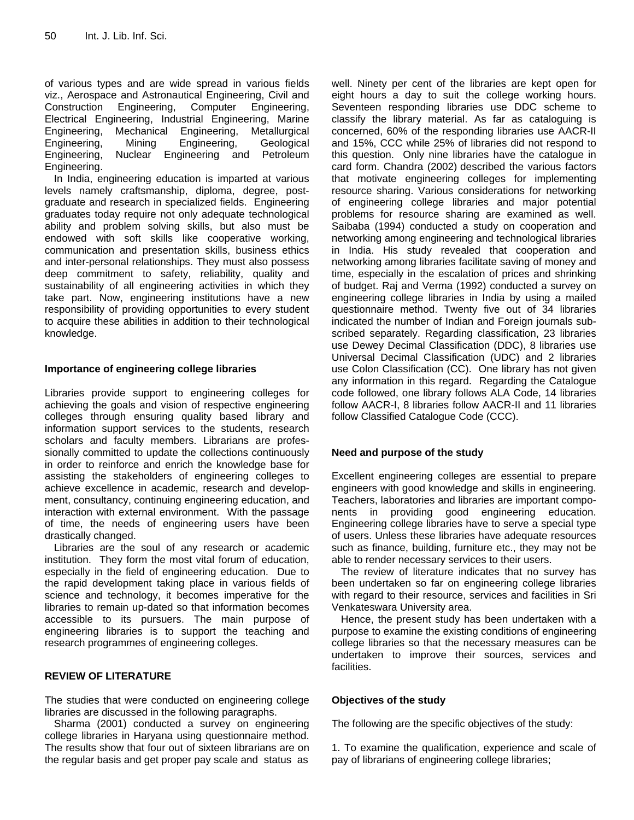of various types and are wide spread in various fields viz., Aerospace and Astronautical Engineering, Civil and Construction Engineering, Computer Engineering, Electrical Engineering, Industrial Engineering, Marine Engineering, Mechanical Engineering, Metallurgical Engineering, Mining Engineering, Geological Engineering, Nuclear Engineering and Petroleum Engineering.

In India, engineering education is imparted at various levels namely craftsmanship, diploma, degree, postgraduate and research in specialized fields. Engineering graduates today require not only adequate technological ability and problem solving skills, but also must be endowed with soft skills like cooperative working, communication and presentation skills, business ethics and inter-personal relationships. They must also possess deep commitment to safety, reliability, quality and sustainability of all engineering activities in which they take part. Now, engineering institutions have a new responsibility of providing opportunities to every student to acquire these abilities in addition to their technological knowledge.

#### **Importance of engineering college libraries**

Libraries provide support to engineering colleges for achieving the goals and vision of respective engineering colleges through ensuring quality based library and information support services to the students, research scholars and faculty members. Librarians are professionally committed to update the collections continuously in order to reinforce and enrich the knowledge base for assisting the stakeholders of engineering colleges to achieve excellence in academic, research and development, consultancy, continuing engineering education, and interaction with external environment. With the passage of time, the needs of engineering users have been drastically changed.

Libraries are the soul of any research or academic institution. They form the most vital forum of education, especially in the field of engineering education. Due to the rapid development taking place in various fields of science and technology, it becomes imperative for the libraries to remain up-dated so that information becomes accessible to its pursuers. The main purpose of engineering libraries is to support the teaching and research programmes of engineering colleges.

#### **REVIEW OF LITERATURE**

The studies that were conducted on engineering college libraries are discussed in the following paragraphs.

Sharma (2001) conducted a survey on engineering college libraries in Haryana using questionnaire method. The results show that four out of sixteen librarians are on the regular basis and get proper pay scale and status as

well. Ninety per cent of the libraries are kept open for eight hours a day to suit the college working hours. Seventeen responding libraries use DDC scheme to classify the library material. As far as cataloguing is concerned, 60% of the responding libraries use AACR-II and 15%, CCC while 25% of libraries did not respond to this question. Only nine libraries have the catalogue in card form. Chandra (2002) described the various factors that motivate engineering colleges for implementing resource sharing. Various considerations for networking of engineering college libraries and major potential problems for resource sharing are examined as well. Saibaba (1994) conducted a study on cooperation and networking among engineering and technological libraries in India. His study revealed that cooperation and networking among libraries facilitate saving of money and time, especially in the escalation of prices and shrinking of budget. Raj and Verma (1992) conducted a survey on engineering college libraries in India by using a mailed questionnaire method. Twenty five out of 34 libraries indicated the number of Indian and Foreign journals subscribed separately. Regarding classification, 23 libraries use Dewey Decimal Classification (DDC), 8 libraries use Universal Decimal Classification (UDC) and 2 libraries use Colon Classification (CC). One library has not given any information in this regard. Regarding the Catalogue code followed, one library follows ALA Code, 14 libraries follow AACR-I, 8 libraries follow AACR-II and 11 libraries follow Classified Catalogue Code (CCC).

#### **Need and purpose of the study**

Excellent engineering colleges are essential to prepare engineers with good knowledge and skills in engineering. Teachers, laboratories and libraries are important components in providing good engineering education. Engineering college libraries have to serve a special type of users. Unless these libraries have adequate resources such as finance, building, furniture etc., they may not be able to render necessary services to their users.

The review of literature indicates that no survey has been undertaken so far on engineering college libraries with regard to their resource, services and facilities in Sri Venkateswara University area.

Hence, the present study has been undertaken with a purpose to examine the existing conditions of engineering college libraries so that the necessary measures can be undertaken to improve their sources, services and facilities.

#### **Objectives of the study**

The following are the specific objectives of the study:

1. To examine the qualification, experience and scale of pay of librarians of engineering college libraries;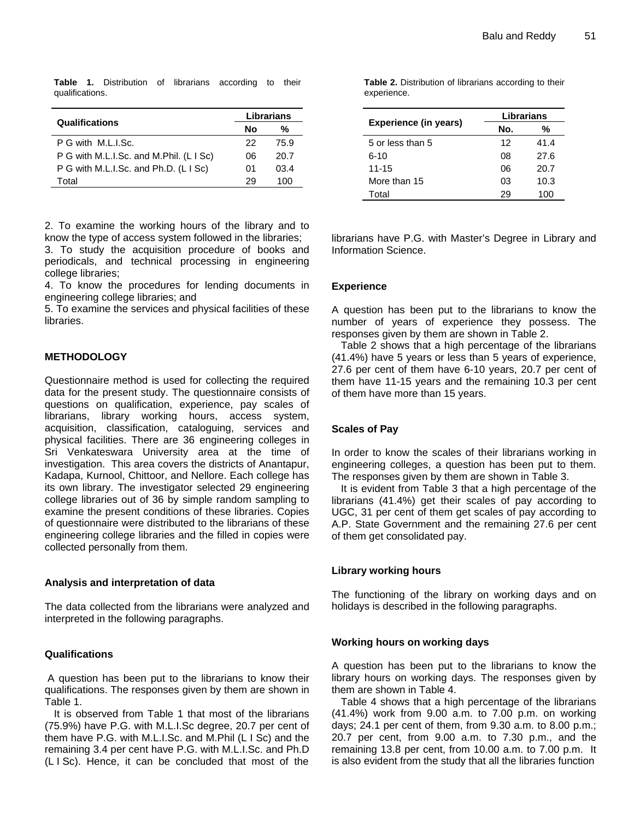**Table 1.** Distribution of librarians according to their qualifications.

|                                         | Librarians |      |
|-----------------------------------------|------------|------|
| <b>Qualifications</b>                   | Nο<br>%    |      |
| P G with M.L.I.Sc.                      | 22         | 75.9 |
| P G with M.L.I.Sc. and M.Phil. (L I Sc) | 06         | 20.7 |
| P G with M.L.I.Sc. and Ph.D. (L I Sc)   | 01         | 03.4 |
| Total                                   | 29         | 100  |

2. To examine the working hours of the library and to know the type of access system followed in the libraries;

3. To study the acquisition procedure of books and periodicals, and technical processing in engineering college libraries;

4. To know the procedures for lending documents in engineering college libraries; and

5. To examine the services and physical facilities of these libraries.

#### **METHODOLOGY**

Questionnaire method is used for collecting the required data for the present study. The questionnaire consists of questions on qualification, experience, pay scales of librarians, library working hours, access system, acquisition, classification, cataloguing, services and physical facilities. There are 36 engineering colleges in Sri Venkateswara University area at the time of investigation. This area covers the districts of Anantapur, Kadapa, Kurnool, Chittoor, and Nellore. Each college has its own library. The investigator selected 29 engineering college libraries out of 36 by simple random sampling to examine the present conditions of these libraries. Copies of questionnaire were distributed to the librarians of these engineering college libraries and the filled in copies were collected personally from them.

#### **Analysis and interpretation of data**

The data collected from the librarians were analyzed and interpreted in the following paragraphs.

#### **Qualifications**

 A question has been put to the librarians to know their qualifications. The responses given by them are shown in Table 1.

It is observed from Table 1 that most of the librarians (75.9%) have P.G. with M.L.I.Sc degree, 20.7 per cent of them have P.G. with M.L.I.Sc. and M.Phil (L I Sc) and the remaining 3.4 per cent have P.G. with M.L.I.Sc. and Ph.D (L I Sc). Hence, it can be concluded that most of the **Table 2.** Distribution of librarians according to their experience.

|                       | Librarians |      |
|-----------------------|------------|------|
| Experience (in years) | No.        | %    |
| 5 or less than 5      | 12         | 41.4 |
| 6-10                  | 08         | 27.6 |
| $11 - 15$             | 06         | 20.7 |
| More than 15          | 03         | 10.3 |
| Total                 | 29         | 100  |

librarians have P.G. with Master's Degree in Library and Information Science.

### **Experience**

A question has been put to the librarians to know the number of years of experience they possess. The responses given by them are shown in Table 2.

Table 2 shows that a high percentage of the librarians (41.4%) have 5 years or less than 5 years of experience, 27.6 per cent of them have 6-10 years, 20.7 per cent of them have 11-15 years and the remaining 10.3 per cent of them have more than 15 years.

#### **Scales of Pay**

In order to know the scales of their librarians working in engineering colleges, a question has been put to them. The responses given by them are shown in Table 3.

It is evident from Table 3 that a high percentage of the librarians (41.4%) get their scales of pay according to UGC, 31 per cent of them get scales of pay according to A.P. State Government and the remaining 27.6 per cent of them get consolidated pay.

# **Library working hours**

The functioning of the library on working days and on holidays is described in the following paragraphs.

#### **Working hours on working days**

A question has been put to the librarians to know the library hours on working days. The responses given by them are shown in Table 4.

Table 4 shows that a high percentage of the librarians (41.4%) work from 9.00 a.m. to 7.00 p.m. on working days; 24.1 per cent of them, from 9.30 a.m. to 8.00 p.m.; 20.7 per cent, from 9.00 a.m. to 7.30 p.m., and the remaining 13.8 per cent, from 10.00 a.m. to 7.00 p.m. It is also evident from the study that all the libraries function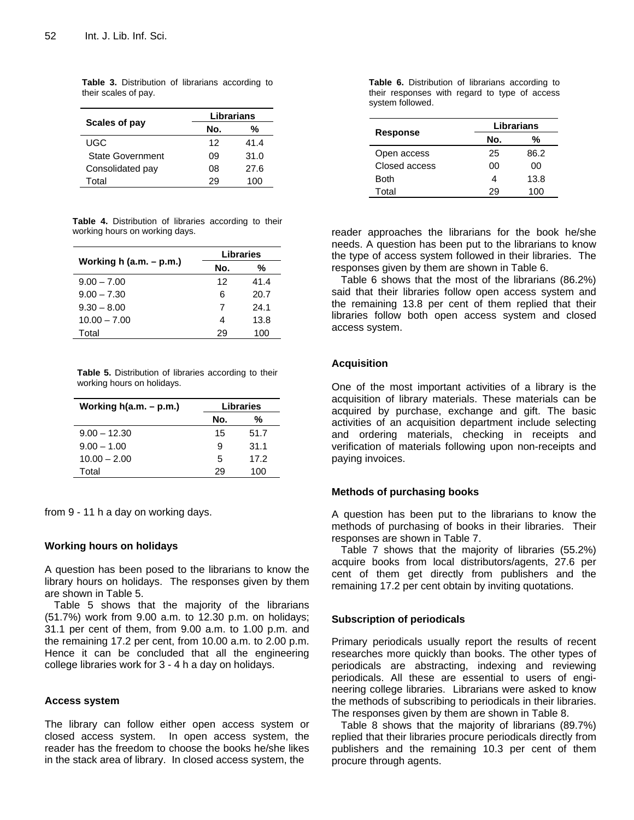|                         | Librarians |      |
|-------------------------|------------|------|
| Scales of pay           | No.<br>℅   |      |
| UGC                     | 12         | 41.4 |
| <b>State Government</b> | 09         | 31.0 |
| Consolidated pay        | 08         | 27.6 |
| Total                   | 29         | 100  |

**Table 3.** Distribution of librarians according to their scales of pay.

**Table 4.** Distribution of libraries according to their working hours on working days.

|                              | <b>Libraries</b> |      |
|------------------------------|------------------|------|
| Working $h$ (a.m. $- p.m.$ ) | %<br>No.         |      |
| $9.00 - 7.00$                | 12               | 41.4 |
| $9.00 - 7.30$                | 6                | 20.7 |
| $9.30 - 8.00$                | 7                | 24.1 |
| $10.00 - 7.00$               |                  | 13.8 |
| Total                        | 26               | 100  |

**Table 5.** Distribution of libraries according to their working hours on holidays.

| Working $h(a.m. - p.m.)$ | Libraries |      |
|--------------------------|-----------|------|
|                          | No.       | %    |
| $9.00 - 12.30$           | 15        | 51.7 |
| $9.00 - 1.00$            | я         | 31.1 |
| $10.00 - 2.00$           | 5         | 17.2 |
| Total                    | 29        | 100  |

from 9 - 11 h a day on working days.

#### **Working hours on holidays**

A question has been posed to the librarians to know the library hours on holidays. The responses given by them are shown in Table 5.

Table 5 shows that the majority of the librarians (51.7%) work from 9.00 a.m. to 12.30 p.m. on holidays; 31.1 per cent of them, from 9.00 a.m. to 1.00 p.m. and the remaining 17.2 per cent, from 10.00 a.m. to 2.00 p.m. Hence it can be concluded that all the engineering college libraries work for 3 - 4 h a day on holidays.

#### **Access system**

The library can follow either open access system or closed access system. In open access system, the reader has the freedom to choose the books he/she likes in the stack area of library. In closed access system, the

**Table 6.** Distribution of librarians according to their responses with regard to type of access system followed.

|                 | Librarians |      |
|-----------------|------------|------|
| <b>Response</b> | No.        | %    |
| Open access     | 25         | 86.2 |
| Closed access   | იი         | ΩO   |
| <b>Both</b>     |            | 13.8 |
| Total           | 29         | 100  |

reader approaches the librarians for the book he/she needs. A question has been put to the librarians to know the type of access system followed in their libraries. The responses given by them are shown in Table 6.

Table 6 shows that the most of the librarians (86.2%) said that their libraries follow open access system and the remaining 13.8 per cent of them replied that their libraries follow both open access system and closed access system.

#### **Acquisition**

One of the most important activities of a library is the acquisition of library materials. These materials can be acquired by purchase, exchange and gift. The basic activities of an acquisition department include selecting and ordering materials, checking in receipts and verification of materials following upon non-receipts and paying invoices.

#### **Methods of purchasing books**

A question has been put to the librarians to know the methods of purchasing of books in their libraries. Their responses are shown in Table 7.

Table 7 shows that the majority of libraries (55.2%) acquire books from local distributors/agents, 27.6 per cent of them get directly from publishers and the remaining 17.2 per cent obtain by inviting quotations.

#### **Subscription of periodicals**

Primary periodicals usually report the results of recent researches more quickly than books. The other types of periodicals are abstracting, indexing and reviewing periodicals. All these are essential to users of engineering college libraries. Librarians were asked to know the methods of subscribing to periodicals in their libraries. The responses given by them are shown in Table 8.

Table 8 shows that the majority of librarians (89.7%) replied that their libraries procure periodicals directly from publishers and the remaining 10.3 per cent of them procure through agents.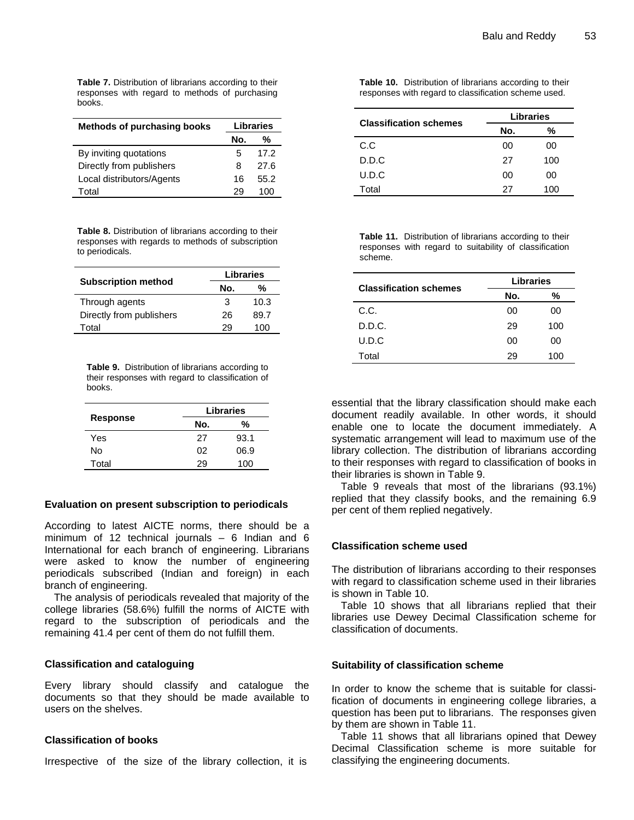**Table 7.** Distribution of librarians according to their responses with regard to methods of purchasing books.

| <b>Methods of purchasing books</b> | <b>Libraries</b> |      |
|------------------------------------|------------------|------|
|                                    | No.              | %    |
| By inviting quotations             | 5                | 172  |
| Directly from publishers           | 8                | 27 R |
| Local distributors/Agents          | 16               | 55.2 |
| Total                              | 29               | 100  |

**Table 8.** Distribution of librarians according to their responses with regards to methods of subscription to periodicals.

|                            | <b>Libraries</b> |      |
|----------------------------|------------------|------|
| <b>Subscription method</b> | %<br>No.         |      |
| Through agents             | 3                | 10.3 |
| Directly from publishers   | 26               | 89.7 |
| Total                      | 29               | 100  |

**Table 9.** Distribution of librarians according to their responses with regard to classification of books.

|                 | <b>Libraries</b> |      |
|-----------------|------------------|------|
| <b>Response</b> | No.              | %    |
| Yes             | 27               | 93.1 |
| N٥              | 02               | 06.9 |
| Total           | 29               | 100  |

#### **Evaluation on present subscription to periodicals**

According to latest AICTE norms, there should be a minimum of 12 technical journals  $-6$  Indian and 6 International for each branch of engineering. Librarians were asked to know the number of engineering periodicals subscribed (Indian and foreign) in each branch of engineering.

The analysis of periodicals revealed that majority of the college libraries (58.6%) fulfill the norms of AICTE with regard to the subscription of periodicals and the remaining 41.4 per cent of them do not fulfill them.

#### **Classification and cataloguing**

Every library should classify and catalogue the documents so that they should be made available to users on the shelves.

#### **Classification of books**

Irrespective of the size of the library collection, it is

**Table 10.** Distribution of librarians according to their responses with regard to classification scheme used.

| <b>Classification schemes</b> | <b>Libraries</b> |     |
|-------------------------------|------------------|-----|
|                               | No.              | %   |
| C.C                           | 00               | 00  |
| D.D.C                         | 27               | 100 |
| U.D.C                         | 00               | ΩO  |
| Total                         | 27               | 100 |

**Table 11.** Distribution of librarians according to their responses with regard to suitability of classification scheme.

| <b>Classification schemes</b> | <b>Libraries</b> |     |
|-------------------------------|------------------|-----|
|                               | No.              | %   |
| C.C.                          | 00               | 00  |
| D.D.C.                        | 29               | 100 |
| U.D.C                         | ΩO               | 00  |
| Total                         | 29               | 100 |

essential that the library classification should make each document readily available. In other words, it should enable one to locate the document immediately. A systematic arrangement will lead to maximum use of the library collection. The distribution of librarians according to their responses with regard to classification of books in their libraries is shown in Table 9.

Table 9 reveals that most of the librarians (93.1%) replied that they classify books, and the remaining 6.9 per cent of them replied negatively.

#### **Classification scheme used**

The distribution of librarians according to their responses with regard to classification scheme used in their libraries is shown in Table 10.

Table 10 shows that all librarians replied that their libraries use Dewey Decimal Classification scheme for classification of documents.

#### **Suitability of classification scheme**

In order to know the scheme that is suitable for classification of documents in engineering college libraries, a question has been put to librarians. The responses given by them are shown in Table 11.

Table 11 shows that all librarians opined that Dewey Decimal Classification scheme is more suitable for classifying the engineering documents.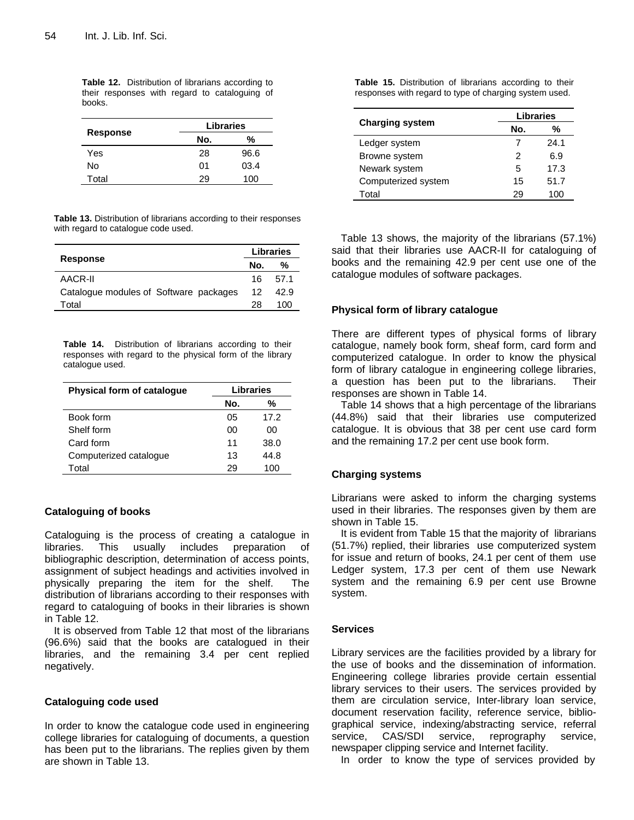**Table 12.** Distribution of librarians according to their responses with regard to cataloguing of books.

|          | <b>Libraries</b> |      |
|----------|------------------|------|
| Response | No.              | %    |
| Yes      | 28               | 96.6 |
| N٥       | 01               | 03.4 |
| Total    | 29               | 100  |

**Table 13.** Distribution of librarians according to their responses with regard to catalogue code used.

| <b>Response</b>                        |     | <b>Libraries</b> |  |
|----------------------------------------|-----|------------------|--|
|                                        |     | %                |  |
| AACR-II                                | 16. | 57.1             |  |
| Catalogue modules of Software packages | 12  | 42.9             |  |
| Total                                  | 28  | 100              |  |

**Table 14.** Distribution of librarians according to their responses with regard to the physical form of the library catalogue used.

| <b>Physical form of catalogue</b> | Libraries |      |  |
|-----------------------------------|-----------|------|--|
|                                   | No.       | %    |  |
| Book form                         | 05        | 17.2 |  |
| Shelf form                        | ΩO        | ΩO   |  |
| Card form                         | 11        | 38.0 |  |
| Computerized catalogue            | 13        | 44.8 |  |
| Total                             | 29        | 100  |  |

#### **Cataloguing of books**

Cataloguing is the process of creating a catalogue in libraries. This usually includes preparation of bibliographic description, determination of access points, assignment of subject headings and activities involved in physically preparing the item for the shelf. The distribution of librarians according to their responses with regard to cataloguing of books in their libraries is shown in Table 12.

It is observed from Table 12 that most of the librarians (96.6%) said that the books are catalogued in their libraries, and the remaining 3.4 per cent replied negatively.

#### **Cataloguing code used**

In order to know the catalogue code used in engineering college libraries for cataloguing of documents, a question has been put to the librarians. The replies given by them are shown in Table 13.

**Table 15.** Distribution of librarians according to their responses with regard to type of charging system used.

|                        |     | <b>Libraries</b> |  |  |
|------------------------|-----|------------------|--|--|
| <b>Charging system</b> | No. | %                |  |  |
| Ledger system          |     | 24.1             |  |  |
| Browne system          | 2   | 6.9              |  |  |
| Newark system          | 5   | 17.3             |  |  |
| Computerized system    | 15  | 51.7             |  |  |
| Total                  | 29  | 100              |  |  |

Table 13 shows, the majority of the librarians (57.1%) said that their libraries use AACR-II for cataloguing of books and the remaining 42.9 per cent use one of the catalogue modules of software packages.

#### **Physical form of library catalogue**

There are different types of physical forms of library catalogue, namely book form, sheaf form, card form and computerized catalogue. In order to know the physical form of library catalogue in engineering college libraries, a question has been put to the librarians. Their responses are shown in Table 14.

Table 14 shows that a high percentage of the librarians (44.8%) said that their libraries use computerized catalogue. It is obvious that 38 per cent use card form and the remaining 17.2 per cent use book form.

#### **Charging systems**

Librarians were asked to inform the charging systems used in their libraries. The responses given by them are shown in Table 15.

It is evident from Table 15 that the majority of librarians (51.7%) replied, their libraries use computerized system for issue and return of books, 24.1 per cent of them use Ledger system, 17.3 per cent of them use Newark system and the remaining 6.9 per cent use Browne system.

#### **Services**

Library services are the facilities provided by a library for the use of books and the dissemination of information. Engineering college libraries provide certain essential library services to their users. The services provided by them are circulation service, Inter-library loan service, document reservation facility, reference service, bibliographical service, indexing/abstracting service, referral service, CAS/SDI service, reprography service, newspaper clipping service and Internet facility.

In order to know the type of services provided by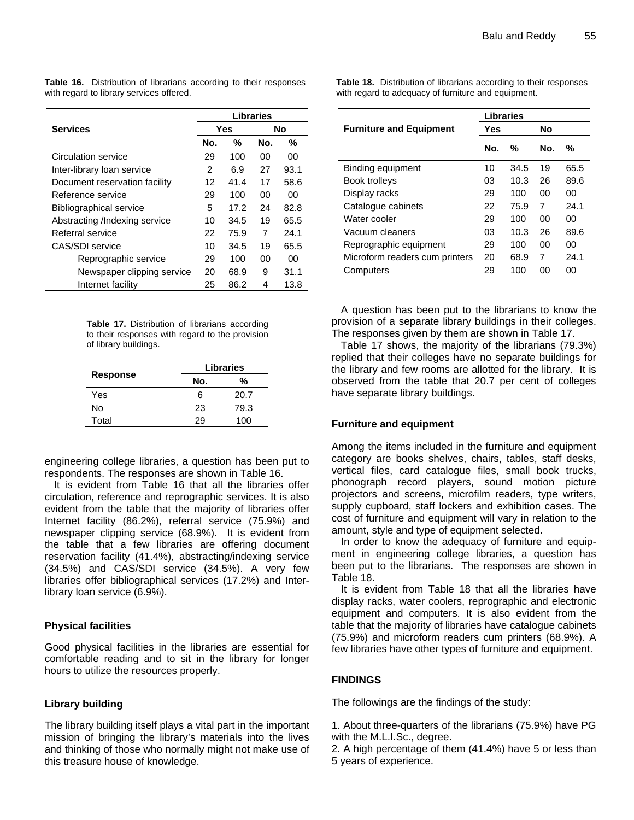**Table 16.** Distribution of librarians according to their responses with regard to library services offered.

|                               | Libraries |      |     |      |
|-------------------------------|-----------|------|-----|------|
| <b>Services</b>               | Yes       |      | No  |      |
|                               | No.       | %    | No. | %    |
| Circulation service           | 29        | 100  | 00  | 00   |
| Inter-library loan service    | 2         | 6.9  | 27  | 93.1 |
| Document reservation facility | 12        | 41.4 | 17  | 58.6 |
| Reference service             | 29        | 100  | 00  | ΩO   |
| Bibliographical service       | 5         | 17.2 | 24  | 82.8 |
| Abstracting /Indexing service | 10        | 34.5 | 19  | 65.5 |
| Referral service              | 22        | 75.9 | 7   | 24.1 |
| CAS/SDI service               | 10        | 34.5 | 19  | 65.5 |
| Reprographic service          | 29        | 100  | 00  | 00   |
| Newspaper clipping service    | 20        | 68.9 | 9   | 31.1 |
| Internet facility             | 25        | 86.2 | 4   | 13.8 |

**Table 17.** Distribution of librarians according to their responses with regard to the provision of library buildings.

|                 |     | <b>Libraries</b> |
|-----------------|-----|------------------|
| <b>Response</b> | No. | %                |
| Yes             | 6   | 20.7             |
| N٥              | 23  | 79.3             |
| Total           | 29  | 100              |

engineering college libraries, a question has been put to respondents. The responses are shown in Table 16.

It is evident from Table 16 that all the libraries offer circulation, reference and reprographic services. It is also evident from the table that the majority of libraries offer Internet facility (86.2%), referral service (75.9%) and newspaper clipping service (68.9%). It is evident from the table that a few libraries are offering document reservation facility (41.4%), abstracting/indexing service (34.5%) and CAS/SDI service (34.5%). A very few libraries offer bibliographical services (17.2%) and Interlibrary loan service (6.9%).

#### **Physical facilities**

Good physical facilities in the libraries are essential for comfortable reading and to sit in the library for longer hours to utilize the resources properly.

#### **Library building**

The library building itself plays a vital part in the important mission of bringing the library's materials into the lives and thinking of those who normally might not make use of this treasure house of knowledge.

**Table 18.** Distribution of librarians according to their responses with regard to adequacy of furniture and equipment.

|                                | Libraries |      |     |      |
|--------------------------------|-----------|------|-----|------|
| <b>Furniture and Equipment</b> | Yes       |      | No  |      |
|                                | No.       | %    | No. | %    |
| Binding equipment              | 10        | 34.5 | 19  | 65.5 |
| <b>Book trolleys</b>           | 03        | 10.3 | 26  | 89.6 |
| Display racks                  | 29        | 100  | ΩO  | ΩO   |
| Catalogue cabinets             | 22        | 75.9 | 7   | 24.1 |
| Water cooler                   | 29        | 100  | 00  | ΩO   |
| Vacuum cleaners                | 03        | 10.3 | 26  | 89.6 |
| Reprographic equipment         | 29        | 100  | ΩO  | 00   |
| Microform readers cum printers | 20        | 68.9 | 7   | 24.1 |
| Computers                      | 29        | 100  | იი  | 00   |

A question has been put to the librarians to know the provision of a separate library buildings in their colleges. The responses given by them are shown in Table 17.

Table 17 shows, the majority of the librarians (79.3%) replied that their colleges have no separate buildings for the library and few rooms are allotted for the library. It is observed from the table that 20.7 per cent of colleges have separate library buildings.

#### **Furniture and equipment**

Among the items included in the furniture and equipment category are books shelves, chairs, tables, staff desks, vertical files, card catalogue files, small book trucks, phonograph record players, sound motion picture projectors and screens, microfilm readers, type writers, supply cupboard, staff lockers and exhibition cases. The cost of furniture and equipment will vary in relation to the amount, style and type of equipment selected.

In order to know the adequacy of furniture and equipment in engineering college libraries, a question has been put to the librarians. The responses are shown in Table 18.

It is evident from Table 18 that all the libraries have display racks, water coolers, reprographic and electronic equipment and computers. It is also evident from the table that the majority of libraries have catalogue cabinets (75.9%) and microform readers cum printers (68.9%). A few libraries have other types of furniture and equipment.

# **FINDINGS**

The followings are the findings of the study:

1. About three-quarters of the librarians (75.9%) have PG with the M.L.I.Sc., degree.

2. A high percentage of them (41.4%) have 5 or less than 5 years of experience.